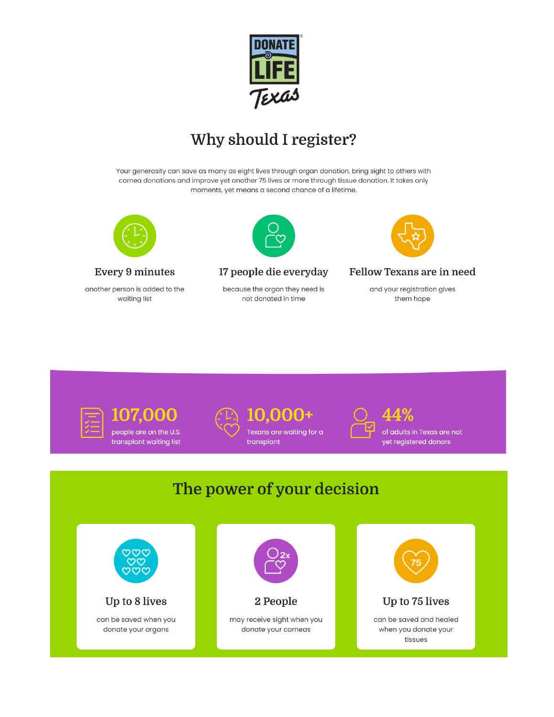

## Why should I register?

Your generosity can save as many as eight lives through organ donation, bring sight to others with cornea donations and improve yet another 75 lives or more through tissue donation. It takes only moments, yet means a second chance of a lifetime.



#### **Every 9 minutes**

another person is added to the waiting list



### 17 people die everyday

because the organ they need is not donated in time



#### Fellow Texans are in need

and your registration gives them hope



**107.000** people are on the U.S. transplant waiting list





Texans are waiting for a transplant



of adults in Texas are not yet registered donors

# The power of your decision

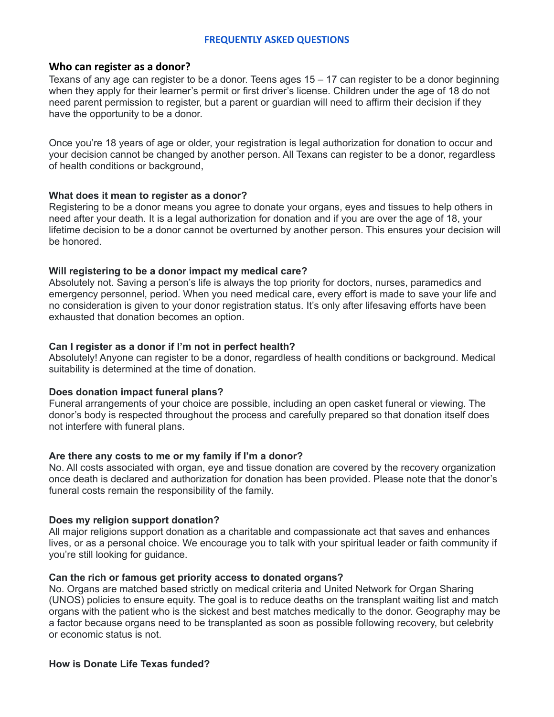#### **FREQUENTLY ASKED QUESTIONS**

#### **Who can register as a donor?**

Texans of any age can register to be a donor. Teens ages 15 – 17 can register to be a donor beginning when they apply for their learner's permit or first driver's license. Children under the age of 18 do not need parent permission to register, but a parent or guardian will need to affirm their decision if they have the opportunity to be a donor.

Once you're 18 years of age or older, your registration is legal authorization for donation to occur and your decision cannot be changed by another person. All Texans can register to be a donor, regardless of health conditions or background,

#### **What does it mean to register as a donor?**

Registering to be a donor means you agree to donate your organs, eyes and tissues to help others in need after your death. It is a legal authorization for donation and if you are over the age of 18, your lifetime decision to be a donor cannot be overturned by another person. This ensures your decision will be honored.

#### **Will registering to be a donor impact my medical care?**

Absolutely not. Saving a person's life is always the top priority for doctors, nurses, paramedics and emergency personnel, period. When you need medical care, every effort is made to save your life and no consideration is given to your donor registration status. It's only after lifesaving efforts have been exhausted that donation becomes an option.

#### **Can I register as a donor if I'm not in perfect health?**

Absolutely! Anyone can register to be a donor, regardless of health conditions or background. Medical suitability is determined at the time of donation.

#### **Does donation impact funeral plans?**

Funeral arrangements of your choice are possible, including an open casket funeral or viewing. The donor's body is respected throughout the process and carefully prepared so that donation itself does not interfere with funeral plans.

#### **Are there any costs to me or my family if I'm a donor?**

No. All costs associated with organ, eye and tissue donation are covered by the recovery organization once death is declared and authorization for donation has been provided. Please note that the donor's funeral costs remain the responsibility of the family.

#### **Does my religion support donation?**

All major religions support donation as a charitable and compassionate act that saves and enhances lives, or as a personal choice. We encourage you to talk with your spiritual leader or faith community if you're still looking for guidance.

#### **Can the rich or famous get priority access to donated organs?**

No. Organs are matched based strictly on medical criteria and United Network for Organ Sharing (UNOS) policies to ensure equity. The goal is to reduce deaths on the transplant waiting list and match organs with the patient who is the sickest and best matches medically to the donor. Geography may be a factor because organs need to be transplanted as soon as possible following recovery, but celebrity or economic status is not.

#### **How is Donate Life Texas funded?**